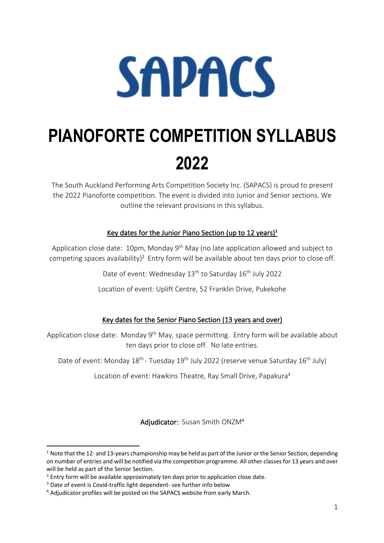# **SAPACS**

# **PIANOFORTE COMPETITION SYLLABUS 2022**

The South Auckland Performing Arts Competition Society Inc. (SAPACS) is proud to present the 2022 Pianoforte competition. The event is divided into Junior and Senior sections. We outline the relevant provisions in this syllabus.

#### Key dates for the Junior Piano Section (up to 12 years)**<sup>1</sup>**

Application close date: 10pm, Monday 9<sup>th</sup> May (no late application allowed and subject to competing spaces availability)<sup>2</sup> Entry form will be available about ten days prior to close off.

Date of event: Wednesday 13<sup>th</sup> to Saturday 16<sup>th</sup> July 2022

Location of event: Uplift Centre, 52 Franklin Drive, Pukekohe

#### Key dates for the Senior Piano Section (13 years and over)

Application close date: Monday 9<sup>th</sup> May, space permitting. Entry form will be available about ten days prior to close off. No late entries.

Date of event: Monday 18<sup>th</sup> - Tuesday 19<sup>th</sup> July 2022 (reserve venue Saturday 16<sup>th</sup> July)

Location of event: Hawkins Theatre, Ray Small Drive, Papakura<sup>3</sup>

Adjudicator: Susan Smith ONZM<sup>4</sup>

 $1$  Note that the 12- and 13-years championship may be held as part of the Junior or the Senior Section, depending on number of entries and will be notified via the competition programme. All other classes for 13 years and over will be held as part of the Senior Section.

<sup>&</sup>lt;sup>2</sup> Entry form will be available approximately ten days prior to application close date.

<sup>&</sup>lt;sup>3</sup> Date of event is Covid-traffic light dependent- see further info below

<sup>4</sup> Adjudicator profiles will be posted on the SAPACS website from early March.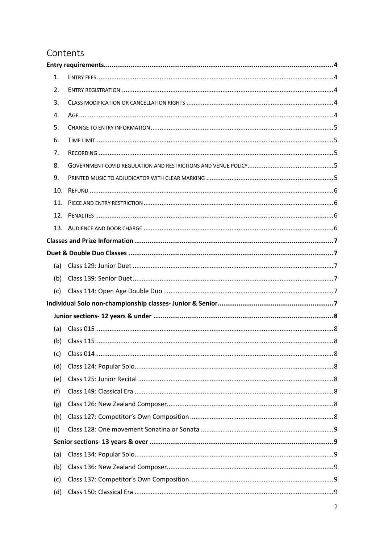# Contents

| 1.  |  |
|-----|--|
| 2.  |  |
| 3.  |  |
| 4.  |  |
| 5.  |  |
| 6.  |  |
| 7.  |  |
| 8.  |  |
| 9.  |  |
| 10. |  |
| 11. |  |
| 12. |  |
|     |  |
|     |  |
|     |  |
| (a) |  |
| (b) |  |
| (c) |  |
|     |  |
|     |  |
| (a) |  |
| (b) |  |
| (c) |  |
| (d) |  |
| (e) |  |
| (f) |  |
| (g) |  |
| (h) |  |
| (i) |  |
|     |  |
| (a) |  |
| (b) |  |
| (c) |  |
| (d) |  |
|     |  |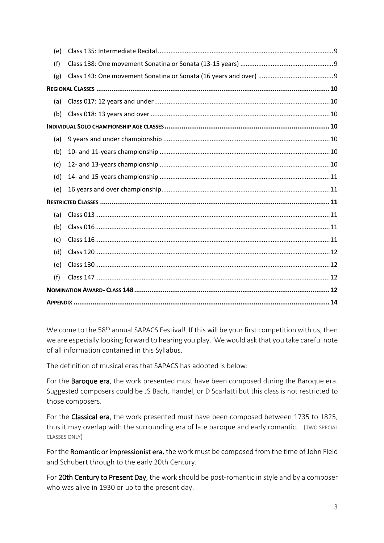| (e) |  |  |  |  |
|-----|--|--|--|--|
| (f) |  |  |  |  |
| (g) |  |  |  |  |
|     |  |  |  |  |
| (a) |  |  |  |  |
| (b) |  |  |  |  |
|     |  |  |  |  |
| (a) |  |  |  |  |
| (b) |  |  |  |  |
| (c) |  |  |  |  |
| (d) |  |  |  |  |
| (e) |  |  |  |  |
|     |  |  |  |  |
| (a) |  |  |  |  |
| (b) |  |  |  |  |
| (c) |  |  |  |  |
| (d) |  |  |  |  |
| (e) |  |  |  |  |
| (f) |  |  |  |  |
|     |  |  |  |  |
|     |  |  |  |  |

Welcome to the 58<sup>th</sup> annual SAPACS Festival! If this will be your first competition with us, then we are especially looking forward to hearing you play. We would ask that you take careful note of all information contained in this Syllabus.

The definition of musical eras that SAPACS has adopted is below:

For the Baroque era, the work presented must have been composed during the Baroque era. Suggested composers could be JS Bach, Handel, or D Scarlatti but this class is not restricted to those composers.

For the Classical era, the work presented must have been composed between 1735 to 1825, thus it may overlap with the surrounding era of late baroque and early romantic. (TWO SPECIAL CLASSES ONLY)

For the Romantic or impressionist era, the work must be composed from the time of John Field and Schubert through to the early 20th Century.

For 20th Century to Present Day, the work should be post-romantic in style and by a composer who was alive in 1930 or up to the present day.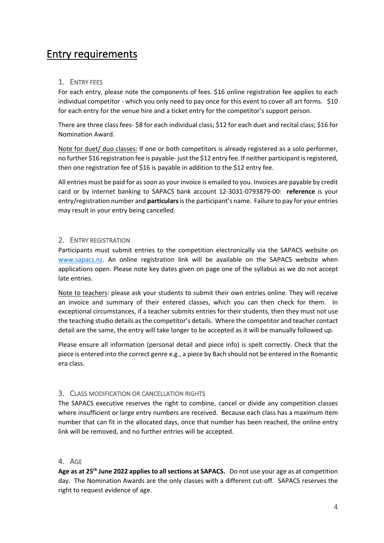# Entry requirements

#### 1. ENTRY FEES

For each entry, please note the components of fees. \$16 online registration fee applies to each individual competitor - which you only need to pay once for this event to cover all art forms. \$10 for each entry for the venue hire and a ticket entry for the competitor's support person.

There are three class fees- \$8 for each individual class; \$12 for each duet and recital class; \$16 for Nomination Award.

Note for duet/ duo classes: If one or both competitors is already registered as a solo performer, no further \$16 registration fee is payable- just the \$12 entry fee. If neither participant is registered, then one registration fee of \$16 is payable in addition to the \$12 entry fee.

All entries must be paid for as soon as your invoice is emailed to you. Invoices are payable by credit card or by internet banking to SAPACS bank account 12-3031-0793879-00: **reference** is your entry/registration number and **particulars**is the participant's name. Failure to pay for your entries may result in your entry being cancelled.

#### 2. ENTRY REGISTRATION

Participants must submit entries to the competition electronically via the SAPACS website on www.sapacs.nz. An online registration link will be available on the SAPACS website when applications open. Please note key dates given on page one of the syllabus as we do not accept late entries.

Note to teachers: please ask your students to submit their own entries online. They will receive an invoice and summary of their entered classes, which you can then check for them. In exceptional circumstances, if a teacher submits entries for their students, then they must not use the teaching studio details as the competitor's details. Where the competitor and teacher contact detail are the same, the entry will take longer to be accepted as it will be manually followed up.

Please ensure all information (personal detail and piece info) is spelt correctly. Check that the piece is entered into the correct genre e.g., a piece by Bach should not be entered in the Romantic era class.

#### 3. CLASS MODIFICATION OR CANCELLATION RIGHTS

The SAPACS executive reserves the right to combine, cancel or divide any competition classes where insufficient or large entry numbers are received. Because each class has a maximum item number that can fit in the allocated days, once that number has been reached, the online entry link will be removed, and no further entries will be accepted.

#### 4. AGE

**Age as at 25th June 2022 applies to all sections at SAPACS.** Do not use your age as at competition day. The Nomination Awards are the only classes with a different cut-off. SAPACS reserves the right to request evidence of age.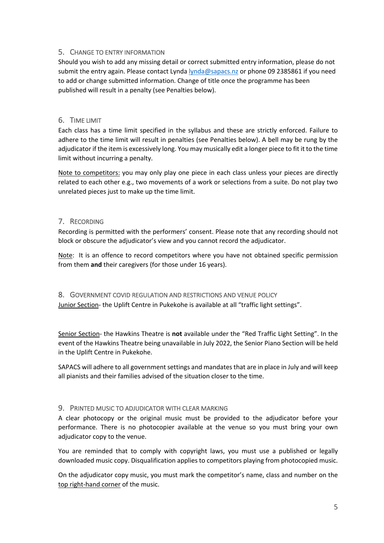#### 5. CHANGE TO ENTRY INFORMATION

Should you wish to add any missing detail or correct submitted entry information, please do not submit the entry again. Please contact Lynda lynda@sapacs.nz or phone 09 2385861 if you need to add or change submitted information. Change of title once the programme has been published will result in a penalty (see Penalties below).

#### 6. TIME LIMIT

Each class has a time limit specified in the syllabus and these are strictly enforced. Failure to adhere to the time limit will result in penalties (see Penalties below). A bell may be rung by the adjudicator if the item is excessively long. You may musically edit a longer piece to fit it to the time limit without incurring a penalty.

Note to competitors: you may only play one piece in each class unless your pieces are directly related to each other e.g., two movements of a work or selections from a suite. Do not play two unrelated pieces just to make up the time limit.

#### 7. RECORDING

Recording is permitted with the performers' consent. Please note that any recording should not block or obscure the adjudicator's view and you cannot record the adjudicator.

Note: It is an offence to record competitors where you have not obtained specific permission from them **and** their caregivers (for those under 16 years).

8. GOVERNMENT COVID REGULATION AND RESTRICTIONS AND VENUE POLICY Junior Section- the Uplift Centre in Pukekohe is available at all "traffic light settings".

Senior Section- the Hawkins Theatre is **not** available under the "Red Traffic Light Setting". In the event of the Hawkins Theatre being unavailable in July 2022, the Senior Piano Section will be held in the Uplift Centre in Pukekohe.

SAPACS will adhere to all government settings and mandates that are in place in July and will keep all pianists and their families advised of the situation closer to the time.

#### 9. PRINTED MUSIC TO ADJUDICATOR WITH CLEAR MARKING

A clear photocopy or the original music must be provided to the adjudicator before your performance. There is no photocopier available at the venue so you must bring your own adjudicator copy to the venue.

You are reminded that to comply with copyright laws, you must use a published or legally downloaded music copy. Disqualification applies to competitors playing from photocopied music.

On the adjudicator copy music, you must mark the competitor's name, class and number on the top right-hand corner of the music.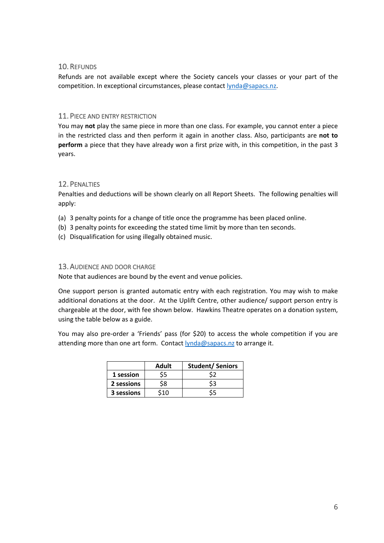#### 10.REFUNDS

Refunds are not available except where the Society cancels your classes or your part of the competition. In exceptional circumstances, please contact lynda@sapacs.nz.

#### 11.PIECE AND ENTRY RESTRICTION

You may **not** play the same piece in more than one class. For example, you cannot enter a piece in the restricted class and then perform it again in another class. Also, participants are **not to perform** a piece that they have already won a first prize with, in this competition, in the past 3 years.

#### 12.PENALTIES

Penalties and deductions will be shown clearly on all Report Sheets. The following penalties will apply:

- (a) 3 penalty points for a change of title once the programme has been placed online.
- (b) 3 penalty points for exceeding the stated time limit by more than ten seconds.
- (c) Disqualification for using illegally obtained music.

#### 13.AUDIENCE AND DOOR CHARGE

Note that audiences are bound by the event and venue policies.

One support person is granted automatic entry with each registration. You may wish to make additional donations at the door. At the Uplift Centre, other audience/ support person entry is chargeable at the door, with fee shown below. Hawkins Theatre operates on a donation system, using the table below as a guide.

You may also pre-order a 'Friends' pass (for \$20) to access the whole competition if you are attending more than one art form. Contact lynda@sapacs.nz to arrange it.

|            | Adult | <b>Student/Seniors</b> |
|------------|-------|------------------------|
| 1 session  |       |                        |
| 2 sessions | S8    |                        |
| 3 sessions | ٬1∩   |                        |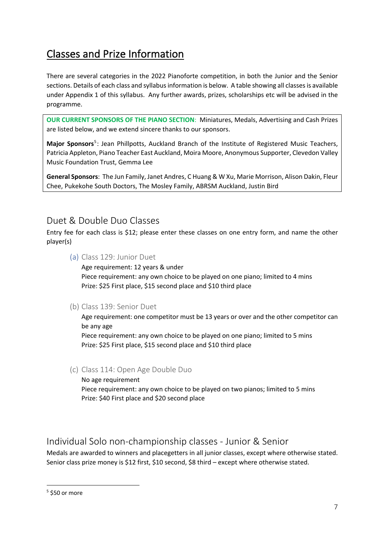# Classes and Prize Information

There are several categories in the 2022 Pianoforte competition, in both the Junior and the Senior sections. Details of each class and syllabus information is below. A table showing all classes is available under Appendix 1 of this syllabus. Any further awards, prizes, scholarships etc will be advised in the programme.

**OUR CURRENT SPONSORS OF THE PIANO SECTION**: Miniatures, Medals, Advertising and Cash Prizes are listed below, and we extend sincere thanks to our sponsors.

**Major Sponsors**5: Jean Phillpotts, Auckland Branch of the Institute of Registered Music Teachers, Patricia Appleton, Piano Teacher East Auckland, Moira Moore, Anonymous Supporter, Clevedon Valley Music Foundation Trust, Gemma Lee

**General Sponsors**: The Jun Family, Janet Andres, C Huang & W Xu, Marie Morrison, Alison Dakin, Fleur Chee, Pukekohe South Doctors, The Mosley Family, ABRSM Auckland, Justin Bird

# Duet & Double Duo Classes

Entry fee for each class is \$12; please enter these classes on one entry form, and name the other player(s)

(a) Class 129: Junior Duet

Age requirement: 12 years & under Piece requirement: any own choice to be played on one piano; limited to 4 mins Prize: \$25 First place, \$15 second place and \$10 third place

(b) Class 139: Senior Duet

Age requirement: one competitor must be 13 years or over and the other competitor can be any age

Piece requirement: any own choice to be played on one piano; limited to 5 mins Prize: \$25 First place, \$15 second place and \$10 third place

(c) Class 114: Open Age Double Duo

No age requirement Piece requirement: any own choice to be played on two pianos; limited to 5 mins Prize: \$40 First place and \$20 second place

# Individual Solo non-championship classes - Junior & Senior

Medals are awarded to winners and placegetters in all junior classes, except where otherwise stated. Senior class prize money is \$12 first, \$10 second, \$8 third – except where otherwise stated.

 $5$  \$50 or more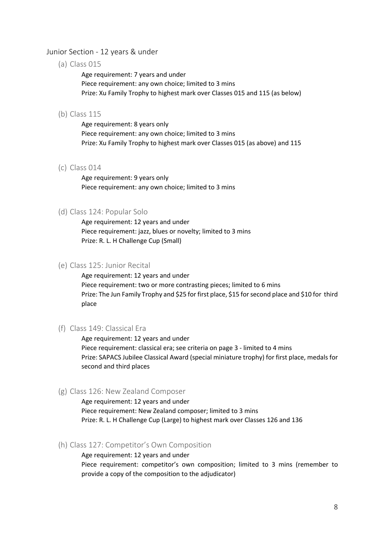#### Junior Section - 12 years & under

(a) Class 015

Age requirement: 7 years and under Piece requirement: any own choice; limited to 3 mins Prize: Xu Family Trophy to highest mark over Classes 015 and 115 (as below)

#### (b) Class 115

Age requirement: 8 years only Piece requirement: any own choice; limited to 3 mins Prize: Xu Family Trophy to highest mark over Classes 015 (as above) and 115

#### (c) Class 014

Age requirement: 9 years only Piece requirement: any own choice; limited to 3 mins

#### (d) Class 124: Popular Solo

Age requirement: 12 years and under Piece requirement: jazz, blues or novelty; limited to 3 mins Prize: R. L. H Challenge Cup (Small)

#### (e) Class 125: Junior Recital

Age requirement: 12 years and under Piece requirement: two or more contrasting pieces; limited to 6 mins Prize: The Jun Family Trophy and \$25 for first place, \$15 forsecond place and \$10 for third place

#### (f) Class 149: Classical Era

Age requirement: 12 years and under Piece requirement: classical era; see criteria on page 3 - limited to 4 mins Prize: SAPACS Jubilee Classical Award (special miniature trophy) for first place, medals for second and third places

#### (g) Class 126: New Zealand Composer

Age requirement: 12 years and under Piece requirement: New Zealand composer; limited to 3 mins Prize: R. L. H Challenge Cup (Large) to highest mark over Classes 126 and 136

#### (h) Class 127: Competitor's Own Composition

Age requirement: 12 years and under Piece requirement: competitor's own composition; limited to 3 mins (remember to provide a copy of the composition to the adjudicator)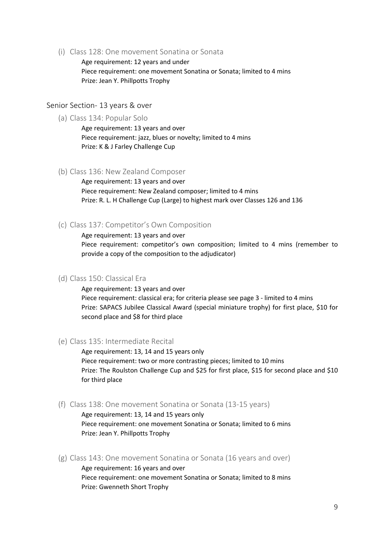(i) Class 128: One movement Sonatina or Sonata

Age requirement: 12 years and under Piece requirement: one movement Sonatina or Sonata; limited to 4 mins Prize: Jean Y. Phillpotts Trophy

#### Senior Section- 13 years & over

(a) Class 134: Popular Solo

Age requirement: 13 years and over Piece requirement: jazz, blues or novelty; limited to 4 mins Prize: K & J Farley Challenge Cup

#### (b) Class 136: New Zealand Composer

Age requirement: 13 years and over Piece requirement: New Zealand composer; limited to 4 mins Prize: R. L. H Challenge Cup (Large) to highest mark over Classes 126 and 136

#### (c) Class 137: Competitor's Own Composition

#### Age requirement: 13 years and over

Piece requirement: competitor's own composition; limited to 4 mins (remember to provide a copy of the composition to the adjudicator)

#### (d) Class 150: Classical Era

Age requirement: 13 years and over Piece requirement: classical era; for criteria please see page 3 - limited to 4 mins Prize: SAPACS Jubilee Classical Award (special miniature trophy) for first place, \$10 for second place and \$8 for third place

(e) Class 135: Intermediate Recital

Age requirement: 13, 14 and 15 years only Piece requirement: two or more contrasting pieces; limited to 10 mins Prize: The Roulston Challenge Cup and \$25 for first place, \$15 for second place and \$10 for third place

(f) Class 138: One movement Sonatina or Sonata (13-15 years)

Age requirement: 13, 14 and 15 years only Piece requirement: one movement Sonatina or Sonata; limited to 6 mins Prize: Jean Y. Phillpotts Trophy

(g) Class 143: One movement Sonatina or Sonata (16 years and over)

Age requirement: 16 years and over Piece requirement: one movement Sonatina or Sonata; limited to 8 mins Prize: Gwenneth Short Trophy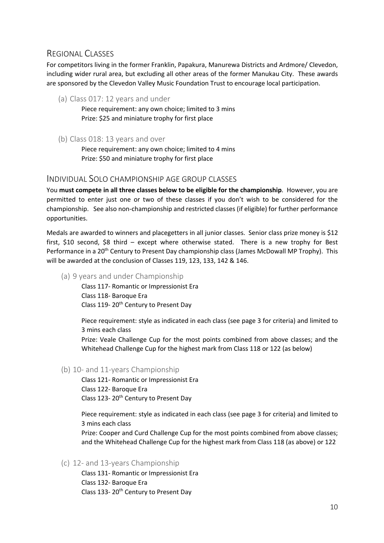### REGIONAL CLASSES

For competitors living in the former Franklin, Papakura, Manurewa Districts and Ardmore/ Clevedon, including wider rural area, but excluding all other areas of the former Manukau City. These awards are sponsored by the Clevedon Valley Music Foundation Trust to encourage local participation.

(a) Class 017: 12 years and under

Piece requirement: any own choice; limited to 3 mins Prize: \$25 and miniature trophy for first place

(b) Class 018: 13 years and over

Piece requirement: any own choice; limited to 4 mins Prize: \$50 and miniature trophy for first place

#### INDIVIDUAL SOLO CHAMPIONSHIP AGE GROUP CLASSES

You **must compete in all three classes below to be eligible for the championship**. However, you are permitted to enter just one or two of these classes if you don't wish to be considered for the championship. See also non-championship and restricted classes (if eligible) for further performance opportunities.

Medals are awarded to winners and placegetters in all junior classes. Senior class prize money is \$12 first, \$10 second, \$8 third – except where otherwise stated. There is a new trophy for Best Performance in a 20<sup>th</sup> Century to Present Day championship class (James McDowall MP Trophy). This will be awarded at the conclusion of Classes 119, 123, 133, 142 & 146.

(a) 9 years and under Championship

Class 117- Romantic or Impressionist Era Class 118- Baroque Era Class 119-20<sup>th</sup> Century to Present Day

Piece requirement: style as indicated in each class (see page 3 for criteria) and limited to 3 mins each class

Prize: Veale Challenge Cup for the most points combined from above classes; and the Whitehead Challenge Cup for the highest mark from Class 118 or 122 (as below)

(b) 10- and 11-years Championship

Class 121- Romantic or Impressionist Era Class 122- Baroque Era Class 123-20<sup>th</sup> Century to Present Day

Piece requirement: style as indicated in each class (see page 3 for criteria) and limited to 3 mins each class

Prize: Cooper and Curd Challenge Cup for the most points combined from above classes; and the Whitehead Challenge Cup for the highest mark from Class 118 (as above) or 122

(c) 12- and 13-years Championship

Class 131- Romantic or Impressionist Era Class 132- Baroque Era Class 133-20<sup>th</sup> Century to Present Day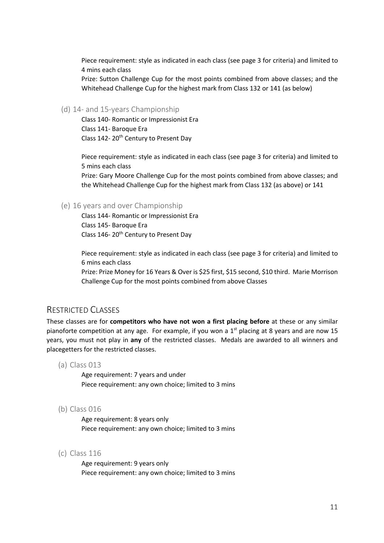Piece requirement: style as indicated in each class (see page 3 for criteria) and limited to 4 mins each class

Prize: Sutton Challenge Cup for the most points combined from above classes; and the Whitehead Challenge Cup for the highest mark from Class 132 or 141 (as below)

#### (d) 14- and 15-years Championship

Class 140- Romantic or Impressionist Era Class 141- Baroque Era Class 142-20<sup>th</sup> Century to Present Day

Piece requirement: style as indicated in each class (see page 3 for criteria) and limited to 5 mins each class

Prize: Gary Moore Challenge Cup for the most points combined from above classes; and the Whitehead Challenge Cup for the highest mark from Class 132 (as above) or 141

#### (e) 16 years and over Championship

Class 144- Romantic or Impressionist Era Class 145- Baroque Era Class 146-20<sup>th</sup> Century to Present Day

Piece requirement: style as indicated in each class (see page 3 for criteria) and limited to 6 mins each class

Prize: Prize Money for 16 Years & Over is \$25 first, \$15 second, \$10 third. Marie Morrison Challenge Cup for the most points combined from above Classes

#### RESTRICTED CLASSES

These classes are for **competitors who have not won a first placing before** at these or any similar pianoforte competition at any age. For example, if you won a  $1<sup>st</sup>$  placing at 8 years and are now 15 years, you must not play in **any** of the restricted classes. Medals are awarded to all winners and placegetters for the restricted classes.

(a) Class 013

Age requirement: 7 years and under Piece requirement: any own choice; limited to 3 mins

(b) Class 016

Age requirement: 8 years only Piece requirement: any own choice; limited to 3 mins

(c) Class 116

Age requirement: 9 years only Piece requirement: any own choice; limited to 3 mins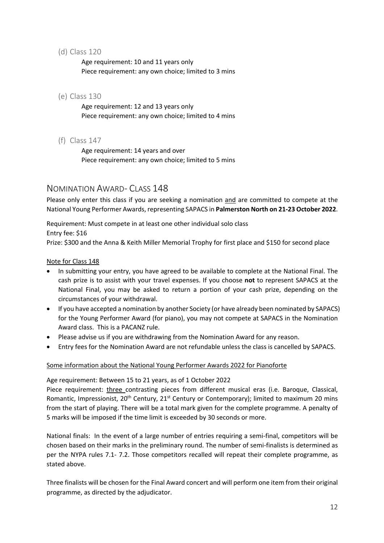(d) Class 120

Age requirement: 10 and 11 years only Piece requirement: any own choice; limited to 3 mins

(e) Class 130

Age requirement: 12 and 13 years only Piece requirement: any own choice; limited to 4 mins

(f) Class 147

Age requirement: 14 years and over Piece requirement: any own choice; limited to 5 mins

#### NOMINATION AWARD- CLASS 148

Please only enter this class if you are seeking a nomination and are committed to compete at the National Young Performer Awards, representing SAPACS in **Palmerston North on 21-23 October 2022**.

Requirement: Must compete in at least one other individual solo class Entry fee: \$16

Prize: \$300 and the Anna & Keith Miller Memorial Trophy for first place and \$150 for second place

#### Note for Class 148

- In submitting your entry, you have agreed to be available to complete at the National Final. The cash prize is to assist with your travel expenses. If you choose **not** to represent SAPACS at the National Final, you may be asked to return a portion of your cash prize, depending on the circumstances of your withdrawal.
- If you have accepted a nomination by another Society (or have already been nominated by SAPACS) for the Young Performer Award (for piano), you may not compete at SAPACS in the Nomination Award class. This is a PACANZ rule.
- Please advise us if you are withdrawing from the Nomination Award for any reason.
- Entry fees for the Nomination Award are not refundable unless the class is cancelled by SAPACS.

#### Some information about the National Young Performer Awards 2022 for Pianoforte

Age requirement: Between 15 to 21 years, as of 1 October 2022

Piece requirement: three contrasting pieces from different musical eras (i.e. Baroque, Classical, Romantic, Impressionist, 20<sup>th</sup> Century, 21<sup>st</sup> Century or Contemporary); limited to maximum 20 mins from the start of playing. There will be a total mark given for the complete programme. A penalty of 5 marks will be imposed if the time limit is exceeded by 30 seconds or more.

National finals: In the event of a large number of entries requiring a semi-final, competitors will be chosen based on their marks in the preliminary round. The number of semi-finalists is determined as per the NYPA rules 7.1- 7.2. Those competitors recalled will repeat their complete programme, as stated above.

Three finalists will be chosen for the Final Award concert and will perform one item from their original programme, as directed by the adjudicator.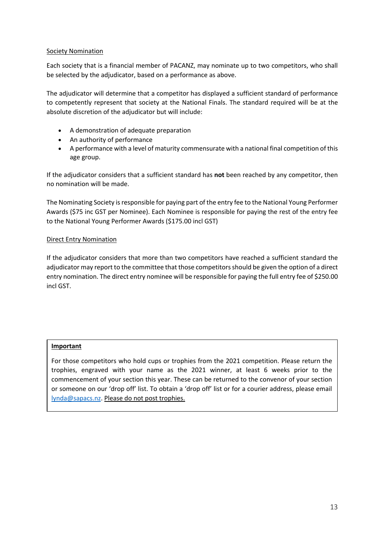#### Society Nomination

Each society that is a financial member of PACANZ, may nominate up to two competitors, who shall be selected by the adjudicator, based on a performance as above.

The adjudicator will determine that a competitor has displayed a sufficient standard of performance to competently represent that society at the National Finals. The standard required will be at the absolute discretion of the adjudicator but will include:

- A demonstration of adequate preparation
- An authority of performance
- A performance with a level of maturity commensurate with a national final competition of this age group.

If the adjudicator considers that a sufficient standard has **not** been reached by any competitor, then no nomination will be made.

The Nominating Society is responsible for paying part of the entry fee to the National Young Performer Awards (\$75 inc GST per Nominee). Each Nominee is responsible for paying the rest of the entry fee to the National Young Performer Awards (\$175.00 incl GST)

#### Direct Entry Nomination

If the adjudicator considers that more than two competitors have reached a sufficient standard the adjudicator may report to the committee that those competitors should be given the option of a direct entry nomination. The direct entry nominee will be responsible for paying the full entry fee of \$250.00 incl GST.

#### **Important**

For those competitors who hold cups or trophies from the 2021 competition. Please return the trophies, engraved with your name as the 2021 winner, at least 6 weeks prior to the commencement of your section this year. These can be returned to the convenor of your section or someone on our 'drop off' list. To obtain a 'drop off' list or for a courier address, please email lynda@sapacs.nz. Please do not post trophies.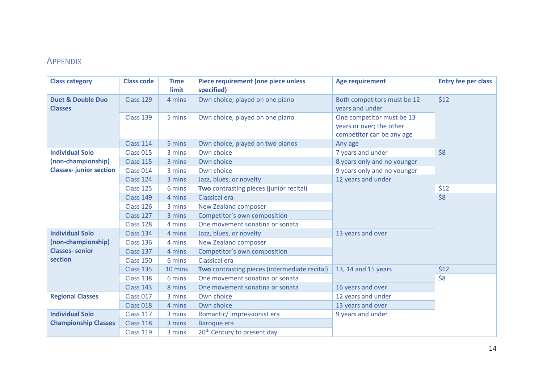# APPENDIX

| <b>Class category</b>                          | <b>Class code</b> | <b>Time</b><br>limit | Piece requirement (one piece unless<br>specified) | <b>Age requirement</b>                                                             | <b>Entry fee per class</b> |  |
|------------------------------------------------|-------------------|----------------------|---------------------------------------------------|------------------------------------------------------------------------------------|----------------------------|--|
| <b>Duet &amp; Double Duo</b><br><b>Classes</b> | Class 129         | 4 mins               | Own choice, played on one piano                   | Both competitors must be 12<br>years and under                                     | \$12                       |  |
|                                                | Class 139         | 5 mins               | Own choice, played on one piano                   | One competitor must be 13<br>years or over; the other<br>competitor can be any age |                            |  |
|                                                | Class 114         | 5 mins               | Own choice, played on two pianos                  | Any age                                                                            |                            |  |
| <b>Individual Solo</b>                         | Class 015         | 3 mins               | Own choice                                        | 7 years and under                                                                  | \$8                        |  |
| (non-championship)                             | <b>Class 115</b>  | 3 mins               | Own choice                                        | 8 years only and no younger                                                        |                            |  |
| <b>Classes-junior section</b>                  | Class 014         | 3 mins               | Own choice                                        | 9 years only and no younger                                                        |                            |  |
|                                                | Class 124         | 3 mins               | Jazz, blues, or novelty                           | 12 years and under                                                                 |                            |  |
|                                                | Class 125         | 6 mins               | Two contrasting pieces (junior recital)           |                                                                                    | \$12                       |  |
|                                                | Class 149         | 4 mins               | Classical era                                     |                                                                                    | \$8                        |  |
|                                                | Class 126         | 3 mins               | New Zealand composer                              |                                                                                    |                            |  |
|                                                | Class 127         | 3 mins               | Competitor's own composition                      |                                                                                    |                            |  |
|                                                | Class 128         | 4 mins               | One movement sonatina or sonata                   |                                                                                    |                            |  |
| <b>Individual Solo</b>                         | Class 134         | 4 mins               | Jazz, blues, or novelty                           | 13 years and over                                                                  |                            |  |
| (non-championship)                             | Class 136         | 4 mins               | New Zealand composer                              |                                                                                    |                            |  |
| <b>Classes-senior</b>                          | Class 137         | 4 mins               | Competitor's own composition                      |                                                                                    |                            |  |
| section                                        | Class 150         | 6 mins               | Classical era                                     |                                                                                    |                            |  |
|                                                | Class 135         | 10 mins              | Two contrasting pieces (intermediate recital)     | 13, 14 and 15 years                                                                | \$12                       |  |
|                                                | Class 138         | 6 mins               | One movement sonatina or sonata                   |                                                                                    | \$8                        |  |
|                                                | Class 143         | 8 mins               | One movement sonatina or sonata                   | 16 years and over                                                                  |                            |  |
| <b>Regional Classes</b>                        | Class 017         | 3 mins               | Own choice                                        | 12 years and under                                                                 |                            |  |
|                                                | Class 018         | 4 mins               | Own choice                                        | 13 years and over                                                                  |                            |  |
| <b>Individual Solo</b>                         | Class 117         | 3 mins               | Romantic/ Impressionist era                       | 9 years and under                                                                  |                            |  |
| <b>Championship Classes</b>                    | Class 118         | 3 mins               | Baroque era                                       |                                                                                    |                            |  |
|                                                | Class 119         | 3 mins               | 20 <sup>th</sup> Century to present day           |                                                                                    |                            |  |